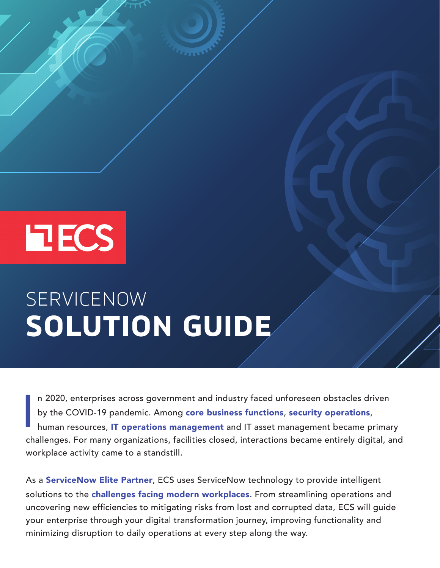# **EECS**

# SERVICENOW **SOLUTION GUIDE**

I n 2020, enterprises across government and industry faced unforeseen obstacles driven<br>by the COVID-19 pandemic. Among **core business functions, security operations,**<br>human resources, IT operations management and IT asset by the COVID-19 pandemic. Among core business functions, security operations, human resources, **IT operations management** and IT asset management became primary challenges. For many organizations, facilities closed, interactions became entirely digital, and workplace activity came to a standstill.

As a [ServiceNow Elite Partner](https://bit.ly/38qax1B), ECS uses ServiceNow technology to provide intelligent solutions to the [challenges facing modern workplaces](https://bit.ly/3coi0PM). From streamlining operations and uncovering new efficiencies to mitigating risks from lost and corrupted data, ECS will guide your enterprise through your digital transformation journey, improving functionality and minimizing disruption to daily operations at every step along the way.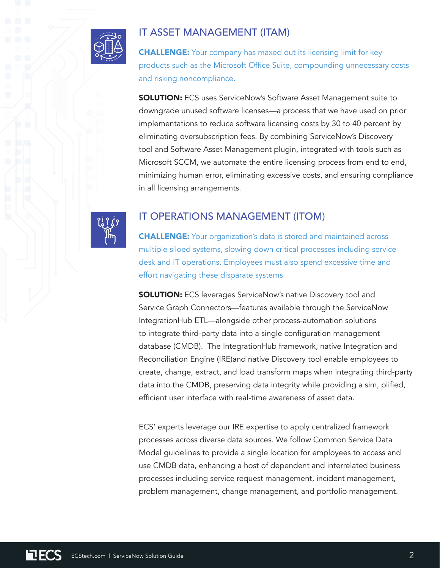

## IT ASSET MANAGEMENT (ITAM)

**CHALLENGE:** Your company has maxed out its licensing limit for key products such as the Microsoft Office Suite, compounding unnecessary costs and risking noncompliance.

**SOLUTION:** ECS uses ServiceNow's Software Asset Management suite to downgrade unused software licenses—a process that we have used on prior implementations to reduce software licensing costs by 30 to 40 percent by eliminating oversubscription fees. By combining ServiceNow's Discovery tool and Software Asset Management plugin, integrated with tools such as Microsoft SCCM, we automate the entire licensing process from end to end, minimizing human error, eliminating excessive costs, and ensuring compliance in all licensing arrangements.



# IT OPERATIONS MANAGEMENT (ITOM)

CHALLENGE: Your organization's data is stored and maintained across multiple siloed systems, slowing down critical processes including service desk and IT operations. Employees must also spend excessive time and effort navigating these disparate systems.

**SOLUTION:** ECS leverages ServiceNow's native Discovery tool and Service Graph Connectors—features available through the ServiceNow IntegrationHub ETL—alongside other process-automation solutions to integrate third-party data into a single configuration management database (CMDB). The IntegrationHub framework, native Integration and Reconciliation Engine (IRE)and native Discovery tool enable employees to create, change, extract, and load transform maps when integrating third-party data into the CMDB, preserving data integrity while providing a sim, plified, efficient user interface with real-time awareness of asset data.

ECS' experts leverage our IRE expertise to apply centralized framework processes across diverse data sources. We follow Common Service Data Model guidelines to provide a single location for employees to access and use CMDB data, enhancing a host of dependent and interrelated business processes including service request management, incident management, problem management, change management, and portfolio management.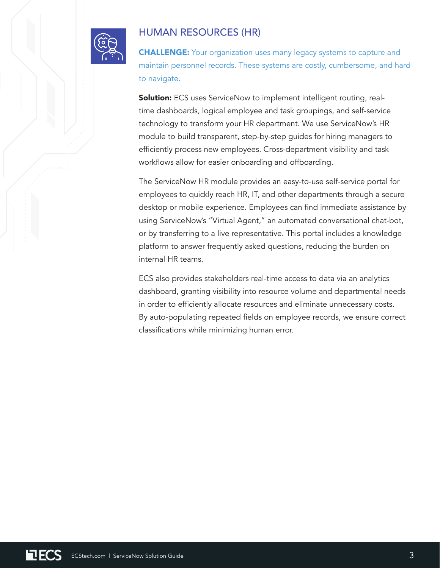

### HUMAN RESOURCES (HR)

**CHALLENGE:** Your organization uses many legacy systems to capture and maintain personnel records. These systems are costly, cumbersome, and hard to navigate.

Solution: ECS uses ServiceNow to implement intelligent routing, realtime dashboards, logical employee and task groupings, and self-service technology to transform your HR department. We use ServiceNow's HR module to build transparent, step-by-step guides for hiring managers to efficiently process new employees. Cross-department visibility and task workflows allow for easier onboarding and offboarding.

The ServiceNow HR module provides an easy-to-use self-service portal for employees to quickly reach HR, IT, and other departments through a secure desktop or mobile experience. Employees can find immediate assistance by using ServiceNow's "Virtual Agent," an automated conversational chat-bot, or by transferring to a live representative. This portal includes a knowledge platform to answer frequently asked questions, reducing the burden on internal HR teams.

ECS also provides stakeholders real-time access to data via an analytics dashboard, granting visibility into resource volume and departmental needs in order to efficiently allocate resources and eliminate unnecessary costs. By auto-populating repeated fields on employee records, we ensure correct classifications while minimizing human error.